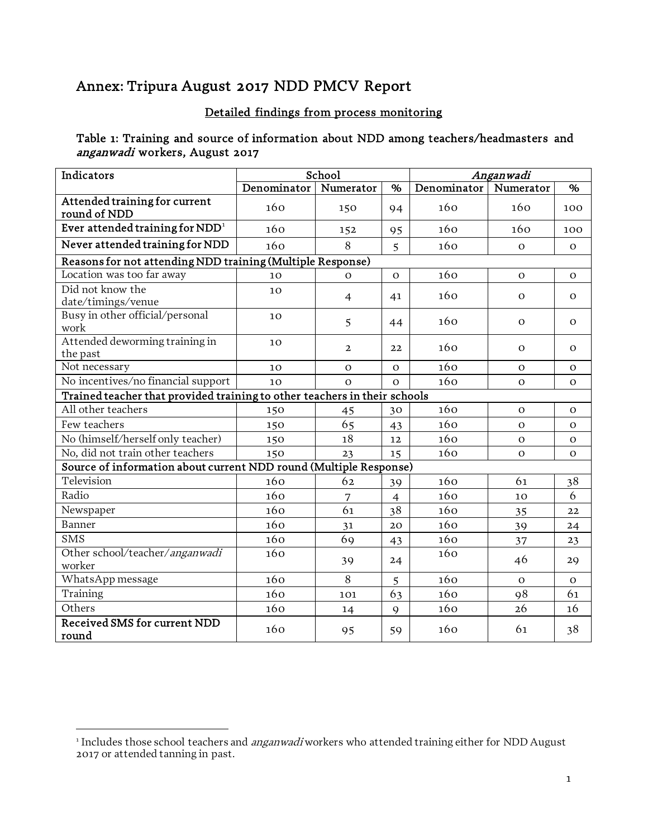# Annex: Tripura August 2017 NDD PMCV Report

# Detailed findings from process monitoring

### Table 1: Training and source of information about NDD among teachers/headmasters and anganwadi workers, August 2017

| Indicators                                                                |             | School         |                |             | Anganwadi      |              |
|---------------------------------------------------------------------------|-------------|----------------|----------------|-------------|----------------|--------------|
|                                                                           | Denominator | Numerator      | $\%$           | Denominator | Numerator      | %            |
| Attended training for current<br>round of NDD                             | 160         | 150            | 94             | 160         | 160            | 100          |
| Ever attended training for $NDD1$                                         | 160         | 152            | 95             | 160         | 160            | 100          |
| Never attended training for NDD                                           | 160         | 8              | 5              | 160         | $\Omega$       | $\Omega$     |
| Reasons for not attending NDD training (Multiple Response)                |             |                |                |             |                |              |
| Location was too far away                                                 | 10          | $\Omega$       | $\Omega$       | 160         | $\Omega$       | $\mathbf{O}$ |
| Did not know the<br>date/timings/venue                                    | 10          | $\overline{4}$ | 41             | 160         | $\Omega$       | $\mathbf{O}$ |
| Busy in other official/personal<br>work                                   | 10          | 5              | 44             | 160         | $\Omega$       | $\Omega$     |
| Attended deworming training in<br>the past                                | 10          | $\overline{2}$ | 22             | 160         | $\Omega$       | $\Omega$     |
| Not necessary                                                             | 10          | $\Omega$       | $\Omega$       | 160         | $\Omega$       | $\Omega$     |
| No incentives/no financial support                                        | 10          | $\Omega$       | $\Omega$       | 160         | $\overline{O}$ | $\Omega$     |
| Trained teacher that provided training to other teachers in their schools |             |                |                |             |                |              |
| All other teachers                                                        | 150         | 45             | 30             | 160         | $\Omega$       | $\Omega$     |
| Few teachers                                                              | 150         | 65             | 43             | 160         | $\Omega$       | $\Omega$     |
| No (himself/herself only teacher)                                         | 150         | 18             | 12             | 160         | $\Omega$       | $\Omega$     |
| No, did not train other teachers                                          | 150         | 23             | 15             | 160         | $\mathbf{o}$   | $\Omega$     |
| Source of information about current NDD round (Multiple Response)         |             |                |                |             |                |              |
| Television                                                                | 160         | 62             | 39             | 160         | 61             | 38           |
| Radio                                                                     | 160         | 7              | $\overline{4}$ | 160         | 10             | 6            |
| Newspaper                                                                 | 160         | 61             | 38             | 160         | 35             | 22           |
| <b>Banner</b>                                                             | 160         | 31             | 20             | 160         | 39             | 24           |
| <b>SMS</b>                                                                | 160         | 69             | 43             | 160         | 37             | 23           |
| Other school/teacher/anganwadi<br>worker                                  | 160         | 39             | 24             | 160         | 46             | 29           |
| WhatsApp message                                                          | 160         | 8              | 5              | 160         | $\overline{O}$ | $\Omega$     |
| Training                                                                  | 160         | 101            | 63             | 160         | 98             | 61           |
| Others                                                                    | 160         | 14             | $\mathsf{Q}$   | 160         | 26             | 16           |
| Received SMS for current NDD<br>round                                     | 160         | 95             | 59             | 160         | 61             | 38           |

<span id="page-0-0"></span><sup>&</sup>lt;sup>1</sup> Includes those school teachers and *anganwadi* workers who attended training either for NDD August 2017 or attended tanning in past.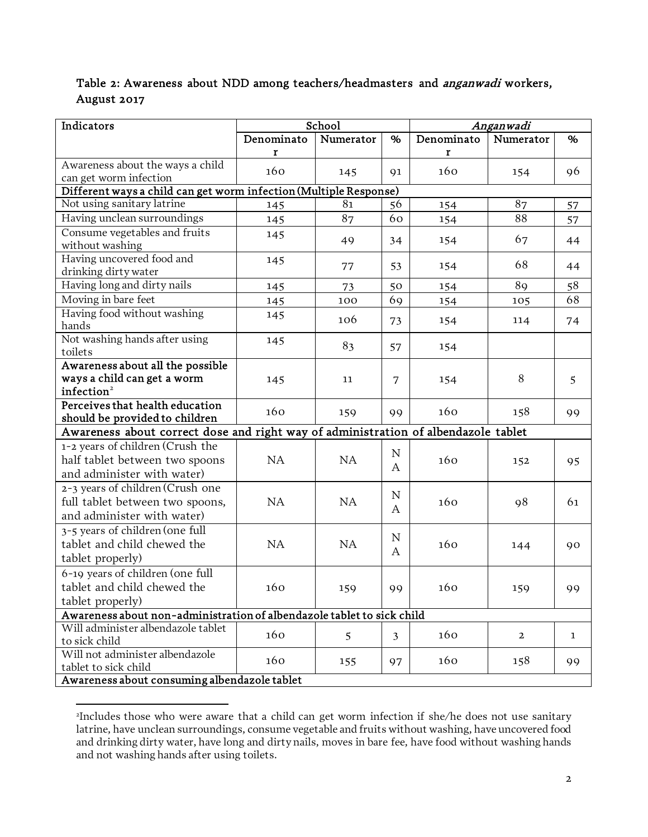# Table 2: Awareness about NDD among teachers/headmasters and *anganwadi* workers, August 2017

| Indicators                                                                         |            | School         |                |            | Anganwadi    |              |
|------------------------------------------------------------------------------------|------------|----------------|----------------|------------|--------------|--------------|
|                                                                                    | Denominato | Numerator      | $\%$           | Denominato | Numerator    | %            |
|                                                                                    | r          |                |                | r          |              |              |
| Awareness about the ways a child                                                   | 160        | 145            | 91             | 160        | 154          | 96           |
| can get worm infection                                                             |            |                |                |            |              |              |
| Different ways a child can get worm infection (Multiple Response)                  |            |                |                |            |              |              |
| Not using sanitary latrine                                                         | 145        | 81             | 56             | 154        | 87           | 57           |
| Having unclean surroundings                                                        | 145        | 87             | 60             | 154        | 88           | 57           |
| Consume vegetables and fruits<br>without washing                                   | 145        | 49             | 34             | 154        | 67           | 44           |
| Having uncovered food and<br>drinking dirty water                                  | 145        | 77             | 53             | 154        | 68           | 44           |
| Having long and dirty nails                                                        | 145        | 73             | 50             | 154        | 89           | 58           |
| Moving in bare feet                                                                | 145        | 100            | 69             | 154        | 105          | 68           |
| Having food without washing                                                        | 145        |                |                |            |              |              |
| hands                                                                              |            | 106            | 73             | 154        | 114          | 74           |
| Not washing hands after using                                                      | 145        | 83             | 57             | 154        |              |              |
| toilets<br>Awareness about all the possible                                        |            |                |                |            |              |              |
| ways a child can get a worm                                                        |            |                |                |            | 8            |              |
| infection <sup>2</sup>                                                             | 145        | 11             | 7              | 154        |              | 5            |
| Perceives that health education                                                    |            |                |                |            |              |              |
| should be provided to children                                                     | 160        | 159            | 99             | 160        | 158          | 99           |
| Awareness about correct dose and right way of administration of albendazole tablet |            |                |                |            |              |              |
| 1-2 years of children (Crush the                                                   |            |                |                |            |              |              |
| half tablet between two spoons                                                     | NA         | NA             | N              | 160        | 152          | 95           |
| and administer with water)                                                         |            |                | A              |            |              |              |
| 2-3 years of children (Crush one                                                   |            |                |                |            |              |              |
| full tablet between two spoons,                                                    | NA         | <b>NA</b>      | N              | 160        | 98           | 61           |
| and administer with water)                                                         |            |                | A              |            |              |              |
| 3-5 years of children (one full                                                    |            |                | N              |            |              |              |
| tablet and child chewed the                                                        | NA         | <b>NA</b>      |                | 160        | 144          | 90           |
| tablet properly)                                                                   |            |                | A              |            |              |              |
| 6-19 years of children (one full                                                   |            |                |                |            |              |              |
| tablet and child chewed the                                                        | 160        | 159            | 99             | 160        | 159          | 99           |
| tablet properly)                                                                   |            |                |                |            |              |              |
| Awareness about non-administration of albendazole tablet to sick child             |            |                |                |            |              |              |
| Will administer albendazole tablet                                                 |            |                |                |            |              |              |
| to sick child                                                                      | 160        | 5 <sup>1</sup> | $\overline{3}$ | 160        | $\mathbf{2}$ | $\mathbf{1}$ |
| Will not administer albendazole                                                    | 160        | 155            | 97             | 160        | 158          | 99           |
| tablet to sick child<br>Awareness about consuming albendazole tablet               |            |                |                |            |              |              |
|                                                                                    |            |                |                |            |              |              |

<span id="page-1-0"></span><sup>2</sup> Includes those who were aware that a child can get worm infection if she/he does not use sanitary latrine, have unclean surroundings, consume vegetable and fruits without washing, have uncovered food and drinking dirty water, have long and dirty nails, moves in bare fee, have food without washing hands and not washing hands after using toilets.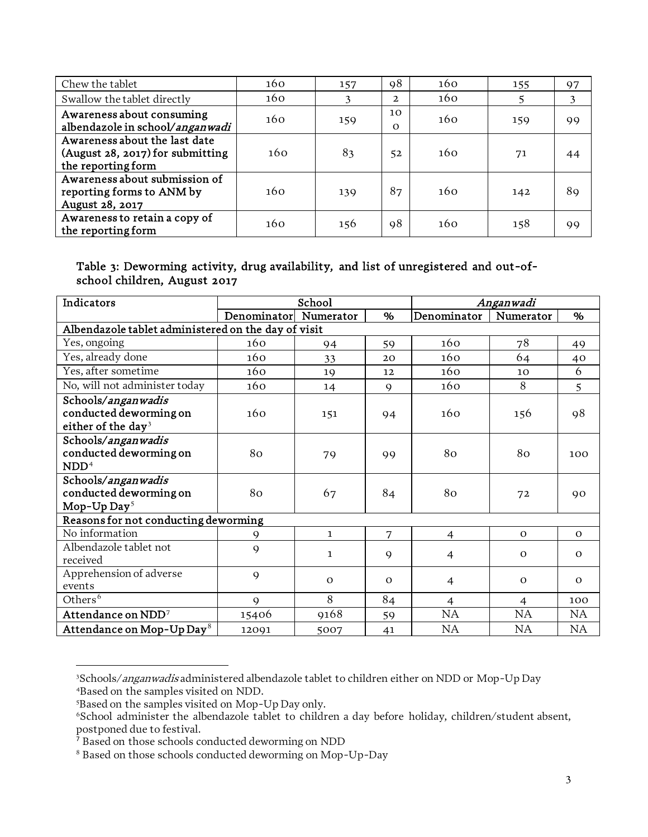| Chew the tablet                                                                         | 160 | 157 | 98             | 160 | 155 | 97 |
|-----------------------------------------------------------------------------------------|-----|-----|----------------|-----|-----|----|
| Swallow the tablet directly                                                             | 160 | 3   | $\mathbf{2}$   | 160 |     | 3  |
| Awareness about consuming<br>albendazole in school/anganwadi                            | 160 | 159 | 10<br>$\Omega$ | 160 | 159 | 99 |
| Awareness about the last date<br>(August 28, 2017) for submitting<br>the reporting form | 160 | 83  | 52             | 160 | 71  | 44 |
| Awareness about submission of<br>reporting forms to ANM by<br>August 28, 2017           | 160 | 139 | 87             | 160 | 142 | 89 |
| Awareness to retain a copy of<br>the reporting form                                     | 160 | 156 | 98             | 160 | 158 | 99 |

#### Table 3: Deworming activity, drug availability, and list of unregistered and out-ofschool children, August 2017

| Indicators                                                                     |              | School       |             | Anganwadi      |                |           |
|--------------------------------------------------------------------------------|--------------|--------------|-------------|----------------|----------------|-----------|
|                                                                                | Denominator  | Numerator    | %           | Denominator    | Numerator      | %         |
| Albendazole tablet administered on the day of visit                            |              |              |             |                |                |           |
| Yes, ongoing                                                                   | 160          | 94           | 59          | 160            | 78             | 49        |
| Yes, already done                                                              | 160          | 33           | 20          | 160            | 64             | 40        |
| Yes, after sometime                                                            | 160          | 19           | 12          | 160            | 10             | 6         |
| No, will not administer today                                                  | 160          | 14           | $\mathbf Q$ | 160            | 8              | 5         |
| Schools/anganwadis<br>conducted deworming on<br>either of the day <sup>3</sup> | 160          | 151          | 94          | 160            | 156            | 98        |
| Schools/anganwadis<br>conducted deworming on<br>NDD <sup>4</sup>               | 80           | 79           | 99          | 80             | 80             | 100       |
| Schools/anganwadis<br>conducted deworming on<br>Mop-Up $Day^5$                 | 80           | 67           | 84          | 80             | 72             | 90        |
| Reasons for not conducting deworming                                           |              |              |             |                |                |           |
| No information                                                                 | 9            | $\mathbf{1}$ | 7           | $\overline{4}$ | $\Omega$       | $\Omega$  |
| Albendazole tablet not<br>received                                             | $\mathsf{Q}$ | $\mathbf{1}$ | $\mathbf Q$ | $\overline{4}$ | $\Omega$       | $\Omega$  |
| Apprehension of adverse<br>events                                              | $\mathbf Q$  | $\Omega$     | $\Omega$    | 4              | $\mathbf{O}$   | $\Omega$  |
| Others <sup>6</sup>                                                            | $\mathbf Q$  | 8            | 84          | 4              | $\overline{4}$ | 100       |
| Attendance on $\mathbf{NDD}^7$                                                 | 15406        | 9168         | 59          | <b>NA</b>      | <b>NA</b>      | <b>NA</b> |
| Attendance on Mop-Up Day <sup>8</sup>                                          | 12091        | 5007         | 41          | NA             | NA             | NA        |

<span id="page-2-1"></span><span id="page-2-0"></span><sup>&</sup>lt;sup>3</sup>Schools/*anganwadis* administered albendazole tablet to children either on NDD or Mop-Up Day 4 Based on the samples visited on NDD.

 $5$ Based on the samples visited on Mop-Up Day only.<br> $6$ School administer the alberdazole tablet to childr

<span id="page-2-3"></span><span id="page-2-2"></span>School administer the albendazole tablet to children a day before holiday, children/student absent, postponed due to festival.

<sup>&</sup>lt;sup>7</sup> Based on those schools conducted deworming on NDD

<span id="page-2-5"></span><span id="page-2-4"></span><sup>8</sup> Based on those schools conducted deworming on Mop-Up-Day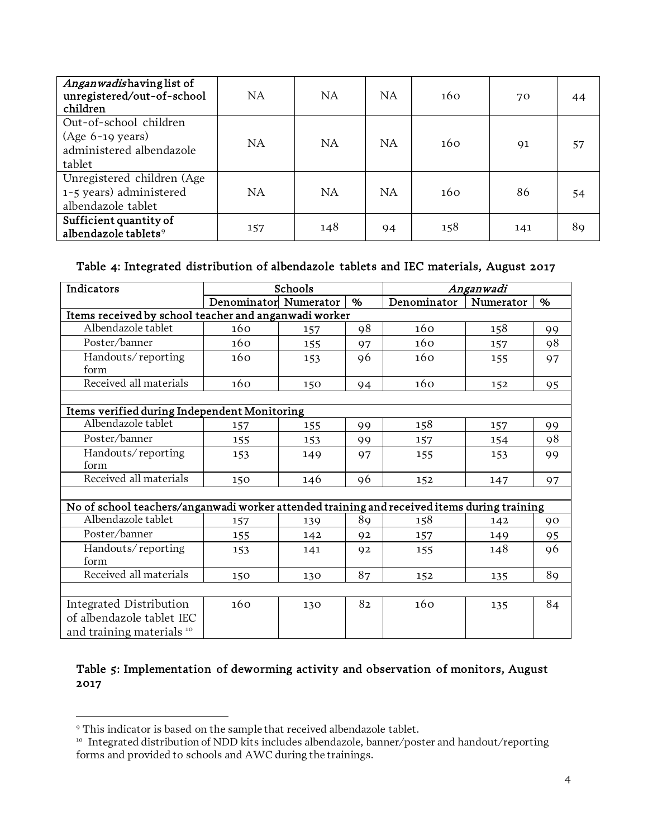| Anganwadishaving list of<br>unregistered/out-of-school<br>children                 | NA.       | <b>NA</b> | NA.       | 160 | 70  | 44 |
|------------------------------------------------------------------------------------|-----------|-----------|-----------|-----|-----|----|
| Out-of-school children<br>$(Age 6-19 years)$<br>administered albendazole<br>tablet | <b>NA</b> | <b>NA</b> | <b>NA</b> | 160 | 91  | 57 |
| Unregistered children (Age<br>1-5 years) administered<br>albendazole tablet        | NA.       | NA        | NA        | 160 | 86  | 54 |
| Sufficient quantity of<br>albendazole tablets <sup>9</sup>                         | 157       | 148       | 94        | 158 | 141 | 89 |

#### Table 4: Integrated distribution of albendazole tablets and IEC materials, August 2017

| Indicators                                                                                  |                       | Schools |    |             | Anganwadi |      |
|---------------------------------------------------------------------------------------------|-----------------------|---------|----|-------------|-----------|------|
|                                                                                             | Denominator Numerator |         | %  | Denominator | Numerator | $\%$ |
| Items received by school teacher and anganwadi worker                                       |                       |         |    |             |           |      |
| Albendazole tablet                                                                          | 160                   | 157     | 98 | 160         | 158       | 99   |
| Poster/banner                                                                               | 160                   | 155     | 97 | 160         | 157       | 98   |
| Handouts/reporting<br>form                                                                  | 160                   | 153     | 96 | 160         | 155       | 97   |
| Received all materials                                                                      | 160                   | 150     | 94 | 160         | 152       | 95   |
|                                                                                             |                       |         |    |             |           |      |
| Items verified during Independent Monitoring                                                |                       |         |    |             |           |      |
| Albendazole tablet                                                                          | 157                   | 155     | 99 | 158         | 157       | 99   |
| Poster/banner                                                                               | 155                   | 153     | 99 | 157         | 154       | 98   |
| Handouts/reporting<br>form                                                                  | 153                   | 149     | 97 | 155         | 153       | 99   |
| Received all materials                                                                      | 150                   | 146     | 96 | 152         | 147       | 97   |
|                                                                                             |                       |         |    |             |           |      |
| No of school teachers/anganwadi worker attended training and received items during training |                       |         |    |             |           |      |
| Albendazole tablet                                                                          | 157                   | 139     | 89 | 158         | 142       | 90   |
| Poster/banner                                                                               | 155                   | 142     | 92 | 157         | 149       | 95   |
| Handouts/reporting<br>form                                                                  | 153                   | 141     | 92 | 155         | 148       | 96   |
| Received all materials                                                                      | 150                   | 130     | 87 | 152         | 135       | 89   |
|                                                                                             |                       |         |    |             |           |      |
| Integrated Distribution<br>of albendazole tablet IEC<br>and training materials 10           | 160                   | 130     | 82 | 160         | 135       | 84   |

### Table 5: Implementation of deworming activity and observation of monitors, August 2017

<span id="page-3-0"></span><sup>9</sup> This indicator is based on the sample that received albendazole tablet.

<span id="page-3-1"></span><sup>&</sup>lt;sup>10</sup> Integrated distribution of NDD kits includes albendazole, banner/poster and handout/reporting forms and provided to schools and AWC during the trainings.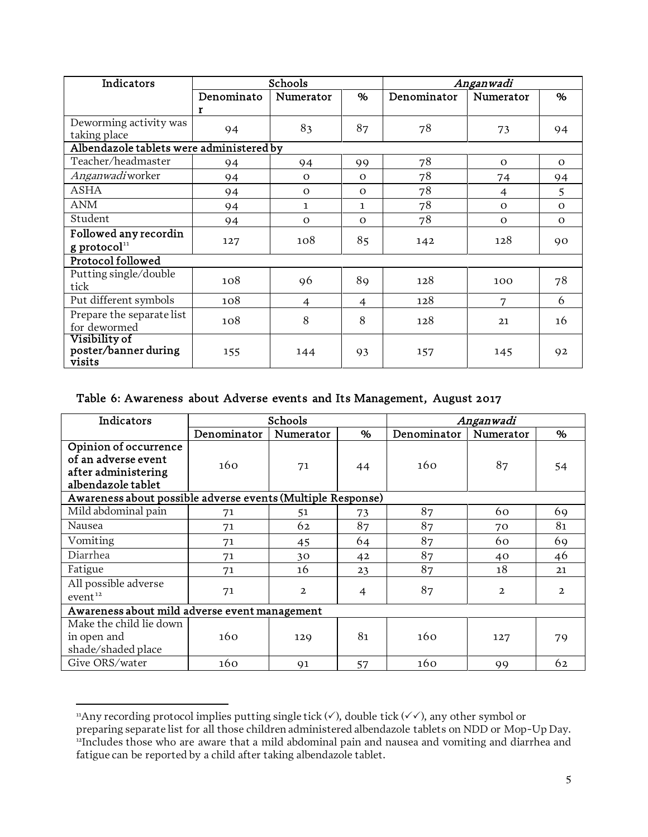| Indicators                               |            | Schools        |              | Anganwadi   |           |          |  |
|------------------------------------------|------------|----------------|--------------|-------------|-----------|----------|--|
|                                          | Denominato | Numerator      | %            | Denominator | Numerator | %        |  |
|                                          | r          |                |              |             |           |          |  |
| Deworming activity was                   | 94         | 83             | 87           | 78          | 73        | 94       |  |
| taking place                             |            |                |              |             |           |          |  |
| Albendazole tablets were administered by |            |                |              |             |           |          |  |
| Teacher/headmaster                       | 94         | 94             | 99           | 78          | $\Omega$  | $\Omega$ |  |
| <i>Anganwadi</i> worker                  | 94         | $\Omega$       | $\Omega$     | 78          | 74        | 94       |  |
| <b>ASHA</b>                              | 94         | $\Omega$       | $\Omega$     | 78          | 4         | 5        |  |
| <b>ANM</b>                               | 94         | $\mathbf{1}$   | $\mathbf{1}$ | 78          | $\Omega$  | $\Omega$ |  |
| Student                                  | 94         | $\Omega$       | $\Omega$     | 78          | $\Omega$  | $\Omega$ |  |
| Followed any recordin                    |            | 108            | 85           |             | 128       |          |  |
| $g$ protocol <sup>11</sup>               | 127        |                |              | 142         |           | 90       |  |
| Protocol followed                        |            |                |              |             |           |          |  |
| Putting single/double                    | 108        | 96             | 89           | 128         | 100       | 78       |  |
| tick                                     |            |                |              |             |           |          |  |
| Put different symbols                    | 108        | $\overline{4}$ | 4            | 128         | 7         | 6        |  |
| Prepare the separate list                | 108        | 8              | 8            | 128         | 21        | 16       |  |
| for dewormed                             |            |                |              |             |           |          |  |
| Visibility of                            |            |                |              |             |           |          |  |
| poster/banner during<br>visits           | 155        | 144            | 93           | 157         | 145       | 92       |  |

### Table 6: Awareness about Adverse events and Its Management, August 2017

| Indicators                                                                                |             | Schools        |                | Anganwadi   |              |              |  |
|-------------------------------------------------------------------------------------------|-------------|----------------|----------------|-------------|--------------|--------------|--|
|                                                                                           | Denominator | Numerator      | %              | Denominator | Numerator    | %            |  |
| Opinion of occurrence<br>of an adverse event<br>after administering<br>albendazole tablet | 160         | 71             | 44             | 160         | 87           | 54           |  |
| Awareness about possible adverse events (Multiple Response)                               |             |                |                |             |              |              |  |
| Mild abdominal pain                                                                       | 71          | 51             | 73             | 87          | 60           | 69           |  |
| Nausea                                                                                    | 71          | 62             | 87             | 87          | 70           | 81           |  |
| Vomiting                                                                                  | 71          | 45             | 64             | 87          | 60           | 69           |  |
| Diarrhea                                                                                  | 71          | 30             | 42             | 87          | 40           | 46           |  |
| Fatigue                                                                                   | 71          | 16             | 23             | 87          | 18           | 21           |  |
| All possible adverse<br>event <sup>12</sup>                                               | 71          | $\overline{a}$ | $\overline{4}$ | 87          | $\mathbf{2}$ | $\mathbf{2}$ |  |
| Awareness about mild adverse event management                                             |             |                |                |             |              |              |  |
| Make the child lie down<br>in open and<br>shade/shaded place                              | 160         | 129            | 81             | 160         | 127          | 79           |  |
| Give ORS/water                                                                            | 160         | 91             | 57             | 160         | 99           | 62           |  |

<span id="page-4-0"></span><sup>&</sup>quot;Any recording protocol implies putting single tick  $(\checkmark)$ , double tick  $(\checkmark\checkmark)$ , any other symbol or preparing separate list for all those children administered albendazole tablets on NDD or Mop-Up Day. <sup>12</sup>Includes those who are aware that a mild abdominal pain and nausea and vomiting and diarrhea and

<span id="page-4-1"></span>fatigue can be reported by a child after taking albendazole tablet.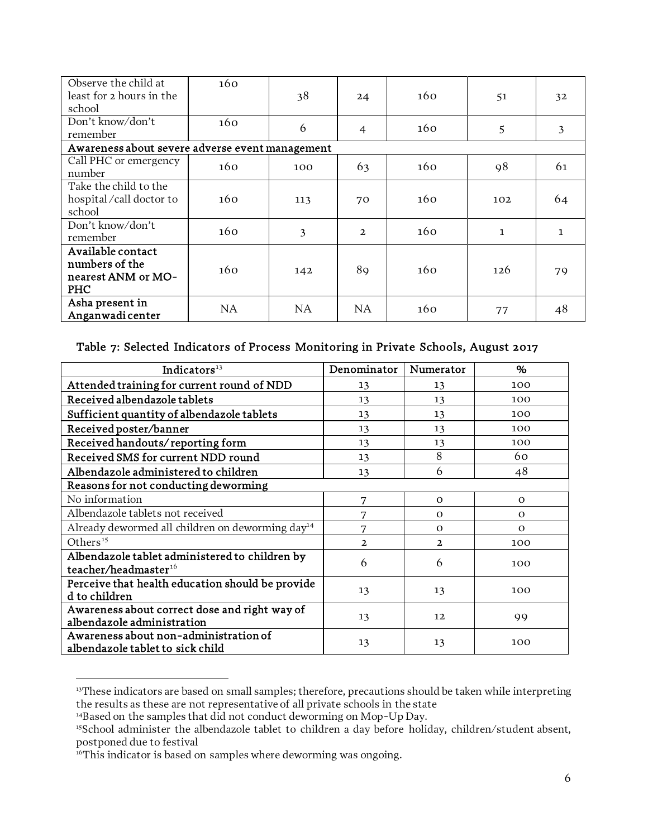| Observe the child at<br>least for 2 hours in the<br>school       | 160 | 38  | 24             | 160 | 51           | 32           |
|------------------------------------------------------------------|-----|-----|----------------|-----|--------------|--------------|
| Don't know/don't<br>remember                                     | 160 | 6   | $\overline{4}$ | 160 | 5            | 3            |
| Awareness about severe adverse event management                  |     |     |                |     |              |              |
| Call PHC or emergency<br>number                                  | 160 | 100 | 63             | 160 | 98           | 61           |
| Take the child to the<br>hospital/call doctor to<br>school       | 160 | 113 | 70             | 160 | 102          | 64           |
| Don't know/don't<br>remember                                     | 160 | 3   | $\overline{2}$ | 160 | $\mathbf{1}$ | $\mathbf{1}$ |
| Available contact<br>numbers of the<br>nearest ANM or MO-<br>PHC | 160 | 142 | 89             | 160 | 126          | 79           |
| Asha present in<br>Anganwadi center                              | NA  | NA  | NA.            | 160 | 77           | 48           |

#### Table 7: Selected Indicators of Process Monitoring in Private Schools, August 2017

| Indicators <sup>13</sup>                                                           | Denominator    | Numerator    | %        |
|------------------------------------------------------------------------------------|----------------|--------------|----------|
| Attended training for current round of NDD                                         | 13             | 13           | 100      |
| Received albendazole tablets                                                       | 13             | 13           | 100      |
| Sufficient quantity of albendazole tablets                                         | 13             | 13           | 100      |
| Received poster/banner                                                             | 13             | 13           | 100      |
| Received handouts/reporting form                                                   | 13             | 13           | 100      |
| Received SMS for current NDD round                                                 | 13             | 8            | 60       |
| Albendazole administered to children                                               | 13             | 6            | 48       |
| Reasons for not conducting deworming                                               |                |              |          |
| No information                                                                     | 7              | $\Omega$     | $\Omega$ |
| Albendazole tablets not received                                                   | 7              | $\Omega$     | $\Omega$ |
| Already dewormed all children on deworming day <sup>14</sup>                       | 7              | $\Omega$     | $\Omega$ |
| Others <sup>15</sup>                                                               | $\overline{a}$ | $\mathbf{2}$ | 100      |
| Albendazole tablet administered to children by<br>teacher/headmaster <sup>16</sup> | 6              | 6            | 100      |
| Perceive that health education should be provide<br>d to children                  | 13             | 13           | 100      |
| Awareness about correct dose and right way of<br>albendazole administration        | 13             | 12           | 99       |
| Awareness about non-administration of<br>albendazole tablet to sick child          | 13             | 13           | 100      |

<span id="page-5-0"></span><sup>&</sup>lt;sup>13</sup>These indicators are based on small samples; therefore, precautions should be taken while interpreting the results as these are not representative of all private schools in the state

<span id="page-5-1"></span><sup>&</sup>lt;sup>14</sup>Based on the samples that did not conduct deworming on Mop-Up Day.

<span id="page-5-2"></span><sup>&</sup>lt;sup>15</sup>School administer the albendazole tablet to children a day before holiday, children/student absent, postponed due to festival

<span id="page-5-3"></span><sup>&</sup>lt;sup>16</sup>This indicator is based on samples where deworming was ongoing.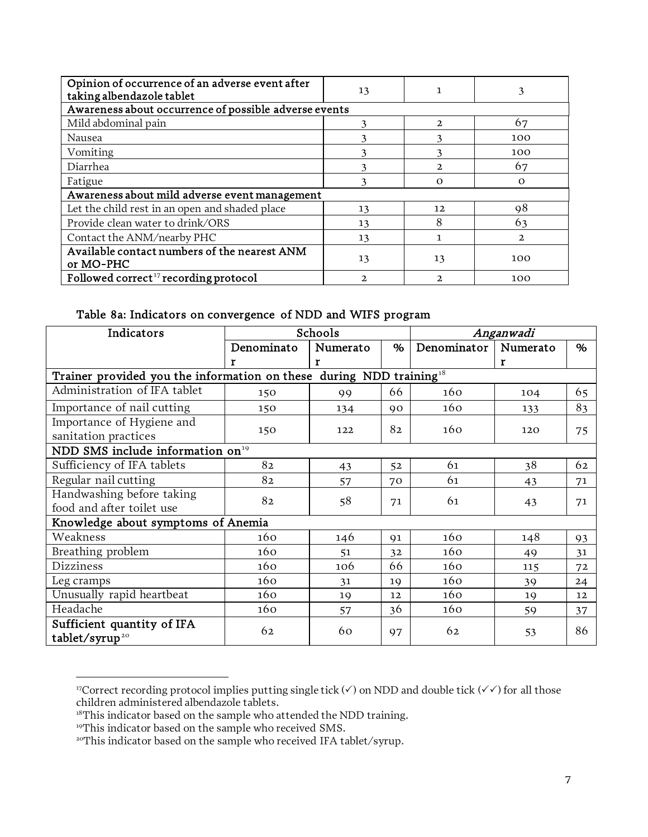| Opinion of occurrence of an adverse event after<br>taking albendazole tablet | 13 |               | 3        |
|------------------------------------------------------------------------------|----|---------------|----------|
| Awareness about occurrence of possible adverse events                        |    |               |          |
| Mild abdominal pain                                                          |    | $\mathcal{D}$ | 67       |
| Nausea                                                                       |    |               | 100      |
| Vomiting                                                                     |    |               | 100      |
| Diarrhea                                                                     | ٦  | 2.            | 67       |
| Fatigue                                                                      |    | $\Omega$      | $\Omega$ |
| Awareness about mild adverse event management                                |    |               |          |
| Let the child rest in an open and shaded place                               | 13 | 12            | 98       |
| Provide clean water to drink/ORS                                             | 13 | 8             | 63       |
| Contact the ANM/nearby PHC                                                   | 13 |               | 2        |
| Available contact numbers of the nearest ANM<br>or MO-PHC                    | 13 | 13            | 100      |
| Followed correct <sup>17</sup> recording protocol                            | 2. | Ͻ.            | 100      |

#### Table 8a: Indicators on convergence of NDD and WIFS program

| Indicators                                                             |            | Schools  |    | Anganwadi   |          |    |
|------------------------------------------------------------------------|------------|----------|----|-------------|----------|----|
|                                                                        | Denominato | Numerato | %  | Denominator | Numerato | %  |
|                                                                        | r          | Г        |    |             | г        |    |
| Trainer provided you the information on these during NDD training $18$ |            |          |    |             |          |    |
| Administration of IFA tablet                                           | 150        | 99       | 66 | 160         | 104      | 65 |
| Importance of nail cutting                                             | 150        | 134      | 90 | 160         | 133      | 83 |
| Importance of Hygiene and<br>sanitation practices                      | 150        | 122      | 82 | 160         | 120      | 75 |
| NDD SMS include information on <sup>19</sup>                           |            |          |    |             |          |    |
| Sufficiency of IFA tablets                                             | 82         | 43       | 52 | 61          | 38       | 62 |
| Regular nail cutting                                                   | 82         | 57       | 70 | 61          | 43       | 71 |
| Handwashing before taking                                              | 82         | 58       |    | 61          |          |    |
| food and after toilet use                                              |            |          | 71 |             | 43       | 71 |
| Knowledge about symptoms of Anemia                                     |            |          |    |             |          |    |
| Weakness                                                               | 160        | 146      | 91 | 160         | 148      | 93 |
| Breathing problem                                                      | 160        | 51       | 32 | 160         | 49       | 31 |
| <b>Dizziness</b>                                                       | 160        | 106      | 66 | 160         | 115      | 72 |
| Leg cramps                                                             | 160        | 31       | 19 | 160         | 39       | 24 |
| Unusually rapid heartbeat                                              | 160        | 19       | 12 | 160         | 19       | 12 |
| Headache                                                               | 160        | 57       | 36 | 160         | 59       | 37 |
| Sufficient quantity of IFA<br>tablet/syrup <sup>20</sup>               | 62         | 60       | 97 | 62          | 53       | 86 |

<span id="page-6-0"></span><sup>&</sup>lt;sup>17</sup>Correct recording protocol implies putting single tick  $(\checkmark)$  on NDD and double tick  $(\checkmark\checkmark)$  for all those children administered albendazole tablets.

<span id="page-6-2"></span><span id="page-6-1"></span><sup>&</sup>lt;sup>18</sup>This indicator based on the sample who attended the NDD training.

<span id="page-6-3"></span><sup>&</sup>lt;sup>19</sup>This indicator based on the sample who received SMS.

<span id="page-6-4"></span><sup>&</sup>lt;sup>20</sup>This indicator based on the sample who received IFA tablet/syrup.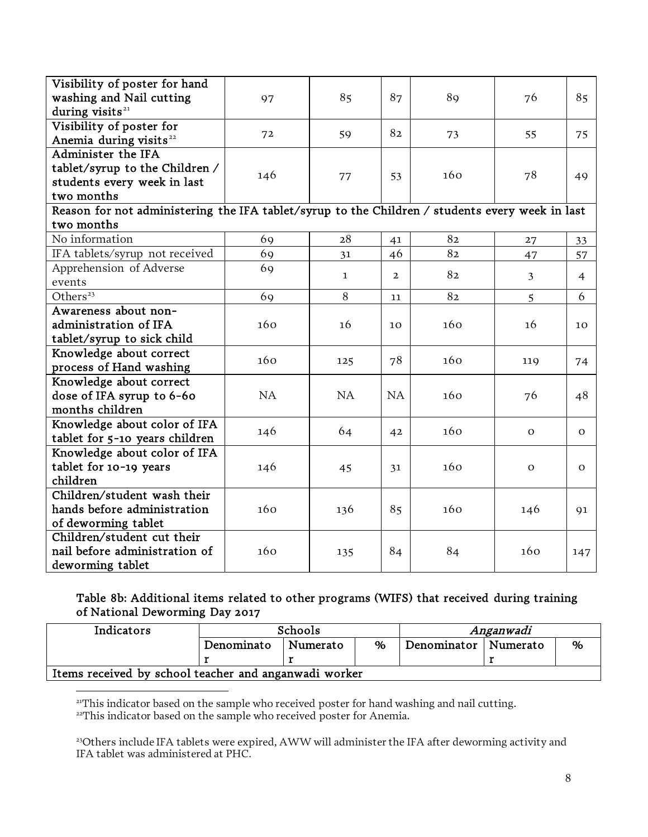| Visibility of poster for hand<br>washing and Nail cutting<br>during visits <sup>21</sup>        | 97  | 85           | 87              | 89  | 76             | 85             |
|-------------------------------------------------------------------------------------------------|-----|--------------|-----------------|-----|----------------|----------------|
| Visibility of poster for<br>Anemia during visits <sup>22</sup>                                  | 72  | 59           | 82              | 73  | 55             | 75             |
| Administer the IFA                                                                              |     |              |                 |     |                |                |
| tablet/syrup to the Children /                                                                  |     |              |                 |     |                |                |
| students every week in last                                                                     | 146 | 77           | 53              | 160 | 78             | 49             |
| two months                                                                                      |     |              |                 |     |                |                |
| Reason for not administering the IFA tablet/syrup to the Children / students every week in last |     |              |                 |     |                |                |
| two months                                                                                      |     |              |                 |     |                |                |
| No information                                                                                  | 69  | 28           | 41              | 82  | 27             | 33             |
| IFA tablets/syrup not received                                                                  | 69  | 31           | 46              | 82  | 47             | 57             |
| Apprehension of Adverse                                                                         | 69  |              |                 |     |                |                |
| events                                                                                          |     | $\mathbf{1}$ | $\overline{2}$  | 82  | 3              | $\overline{4}$ |
| Others <sup>23</sup>                                                                            | 69  | 8            | 11              | 82  | $\overline{5}$ | 6              |
| Awareness about non-                                                                            |     |              |                 |     |                |                |
| administration of IFA                                                                           | 160 | 16           | 10 <sup>2</sup> | 160 | 16             | 10             |
| tablet/syrup to sick child                                                                      |     |              |                 |     |                |                |
| Knowledge about correct                                                                         | 160 |              | 78              | 160 |                |                |
| process of Hand washing                                                                         |     | 125          |                 |     | 119            | 74             |
| Knowledge about correct                                                                         |     |              |                 |     |                |                |
| dose of IFA syrup to 6-60                                                                       | NA  | NA           | <b>NA</b>       | 160 | 76             | 48             |
| months children                                                                                 |     |              |                 |     |                |                |
| Knowledge about color of IFA                                                                    | 146 | 64           |                 | 160 | $\mathbf{O}$   | $\mathbf{O}$   |
| tablet for 5-10 years children                                                                  |     |              | 42              |     |                |                |
| Knowledge about color of IFA                                                                    |     |              |                 |     |                |                |
| tablet for 10-19 years                                                                          | 146 | 45           | 31              | 160 | $\mathbf{O}$   | $\mathbf{O}$   |
| children                                                                                        |     |              |                 |     |                |                |
| Children/student wash their                                                                     |     |              |                 |     |                |                |
| hands before administration                                                                     | 160 | 136          | 85              | 160 | 146            | 91             |
| of deworming tablet                                                                             |     |              |                 |     |                |                |
| Children/student cut their                                                                      |     |              |                 |     |                |                |
| nail before administration of                                                                   | 160 | 135          | 84              | 84  | 160            | 147            |
| deworming tablet                                                                                |     |              |                 |     |                |                |

### Table 8b: Additional items related to other programs (WIFS) that received during training of National Deworming Day 2017

| Indicators                                            | Schools    |          |      | Anganwadi              |  |   |  |  |
|-------------------------------------------------------|------------|----------|------|------------------------|--|---|--|--|
|                                                       | Denominato | Numerato | $\%$ | Denominator   Numerato |  | % |  |  |
|                                                       |            |          |      |                        |  |   |  |  |
| Items received by school teacher and anganwadi worker |            |          |      |                        |  |   |  |  |

<sup>21</sup>This indicator based on the sample who received poster for hand washing and nail cutting.

<span id="page-7-0"></span><sup>22</sup>This indicator based on the sample who received poster for Anemia.

 $\overline{a}$ 

<span id="page-7-1"></span><sup>23</sup>Others include IFA tablets were expired, AWW will administer the IFA after deworming activity and IFA tablet was administered at PHC.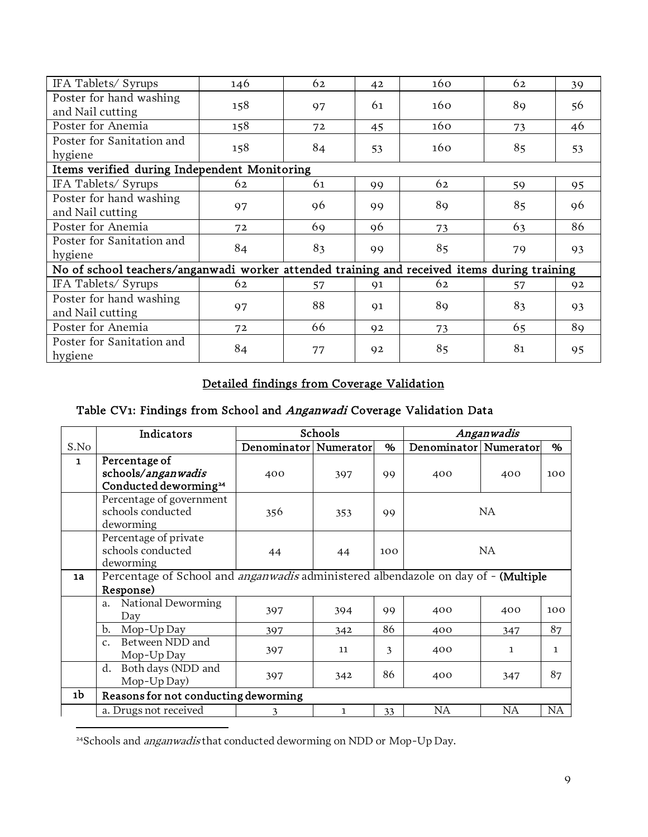| IFA Tablets/ Syrups                                                                         | 146 | 62 | 42 | 160 | 62 | 39 |
|---------------------------------------------------------------------------------------------|-----|----|----|-----|----|----|
| Poster for hand washing<br>and Nail cutting                                                 | 158 | 97 | 61 | 160 | 89 | 56 |
| Poster for Anemia                                                                           | 158 | 72 | 45 | 160 | 73 | 46 |
| Poster for Sanitation and<br>hygiene                                                        | 158 | 84 | 53 | 160 | 85 | 53 |
| Items verified during Independent Monitoring                                                |     |    |    |     |    |    |
| IFA Tablets/Syrups                                                                          | 62  | 61 | 99 | 62  | 59 | 95 |
| Poster for hand washing<br>and Nail cutting                                                 | 97  | 96 | 99 | 89  | 85 | 96 |
| Poster for Anemia                                                                           | 72  | 69 | 96 | 73  | 63 | 86 |
| Poster for Sanitation and<br>hygiene                                                        | 84  | 83 | 99 | 85  | 79 | 93 |
| No of school teachers/anganwadi worker attended training and received items during training |     |    |    |     |    |    |
| IFA Tablets/Syrups                                                                          | 62  | 57 | 91 | 62  | 57 | 92 |
| Poster for hand washing<br>and Nail cutting                                                 | 97  | 88 | 91 | 89  | 83 | 93 |
| Poster for Anemia                                                                           | 72  | 66 | 92 | 73  | 65 | 89 |
| Poster for Sanitation and<br>hygiene                                                        | 84  | 77 | 92 | 85  | 81 | 95 |

# Detailed findings from Coverage Validation

# Table CV1: Findings from School and Anganwadi Coverage Validation Data

|              | Indicators                                                                                | Schools               |     |     |     | Anganwadis                   |     |  |
|--------------|-------------------------------------------------------------------------------------------|-----------------------|-----|-----|-----|------------------------------|-----|--|
| S.No         |                                                                                           | Denominator Numerator |     | %   |     | Denominator   Numerator<br>% |     |  |
| $\mathbf{1}$ | Percentage of<br>schools/anganwadis<br>Conducted deworming <sup>24</sup>                  | 400                   | 397 | 99  | 400 | 400                          | 100 |  |
|              | Percentage of government<br>schools conducted<br>deworming                                | 356                   | 353 | 99  |     | NA.                          |     |  |
|              | Percentage of private<br>schools conducted<br>deworming                                   | 44                    | 44  | 100 | NA  |                              |     |  |
| 1a           | Percentage of School and <i>anganwadis</i> administered albendazole on day of - (Multiple |                       |     |     |     |                              |     |  |
|              | Response)                                                                                 |                       |     |     |     |                              |     |  |
|              | National Deworming<br>a.<br>Day                                                           | 397                   | 394 | 99  | 400 | 400                          | 100 |  |
|              | Mop-Up Day<br>b.                                                                          | 397                   | 342 | 86  | 400 | 347                          | 87  |  |
|              | Between NDD and<br>$\mathcal{C}$ .<br>Mop-Up Day                                          | 397                   | 11  | 3   | 400 | $\mathbf{1}$                 | 1   |  |
|              | Both days (NDD and<br>d.<br>Mop-Up Day)                                                   | 397                   | 342 | 86  | 400 | 347                          | 87  |  |
| 1b           | Reasons for not conducting deworming                                                      |                       |     |     |     |                              |     |  |
|              | a. Drugs not received                                                                     | ٦                     | 1   | 33  | NA  | <b>NA</b>                    | NA  |  |

<span id="page-8-1"></span><span id="page-8-0"></span><sup>24</sup>Schools and *anganwadis* that conducted deworming on NDD or Mop-Up Day.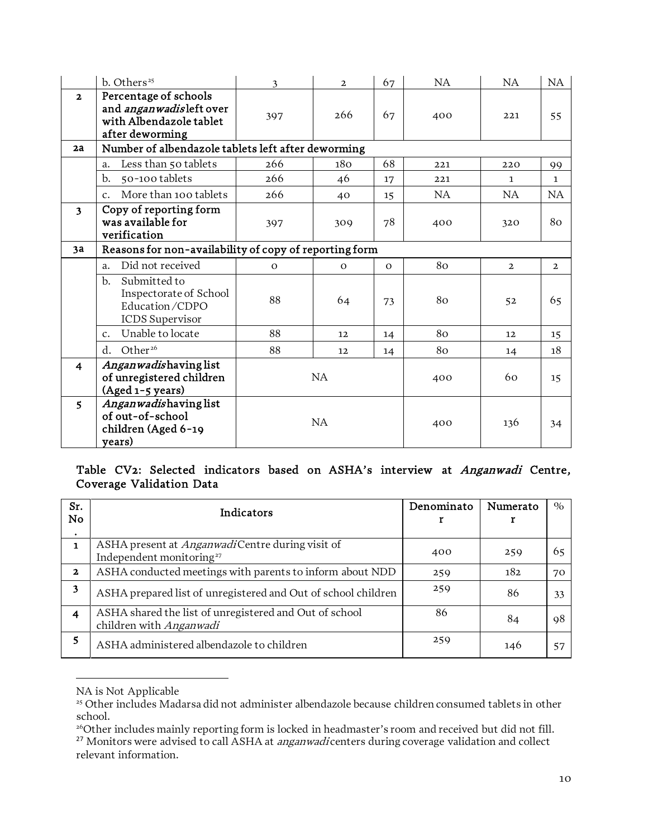|                         | b. Others <sup>25</sup>                                                                                | 3         | $\overline{2}$    | 67           | NA  | NA             | NA             |
|-------------------------|--------------------------------------------------------------------------------------------------------|-----------|-------------------|--------------|-----|----------------|----------------|
| $\overline{\mathbf{2}}$ | Percentage of schools<br>and <i>anganwadis</i> left over<br>with Albendazole tablet<br>after deworming | 397       | 266               | 67           | 400 | 221            | 55             |
| 2a                      | Number of albendazole tablets left after deworming                                                     |           |                   |              |     |                |                |
|                         | Less than 50 tablets<br>a.                                                                             | 266       | 180               | 68           | 221 | 220            | 99             |
|                         | b.<br>50-100 tablets                                                                                   | 266       | 46                | 17           | 221 | $\mathbf{1}$   | $\mathbf{1}$   |
|                         | More than 100 tablets<br>$C_{\star}$                                                                   | 266       | 40                | 15           | NA. | NA.            | NA             |
| $\overline{\mathbf{3}}$ | Copy of reporting form<br>was available for<br>verification                                            | 397       | 309               | 78           | 400 | 320            | 80             |
| 3a                      | Reasons for non-availability of copy of reporting form                                                 |           |                   |              |     |                |                |
|                         | Did not received<br>$a_{\cdot}$                                                                        | $\Omega$  | $\mathbf{O}$      | $\mathbf{O}$ | 80  | $\overline{2}$ | $\overline{2}$ |
|                         | Submitted to<br>b.<br>Inspectorate of School<br>Education/CDPO<br><b>ICDS</b> Supervisor               | 88        | 64                | 73           | 80  | 52             | 65             |
|                         | Unable to locate<br>$\mathcal{C}$ .                                                                    | 88        | $12 \overline{ }$ | 14           | 80  | 12             | 15             |
|                         | Other <sup>26</sup><br>d.                                                                              | 88        | $12 \overline{ }$ | 14           | 80  | 14             | 18             |
| $\overline{\mathbf{4}}$ | Anganwadishaving list<br>of unregistered children<br>(Aged 1-5 years)                                  | <b>NA</b> |                   | 400          | 60  | 15             |                |
| 5                       | Angan wadishaving list<br>of out-of-school<br>children (Aged 6-19<br>years)                            | <b>NA</b> |                   |              | 400 | 136            | 34             |

### Table CV2: Selected indicators based on ASHA's interview at Anganwadi Centre, Coverage Validation Data

| Sr.<br>No.                | Indicators                                                                                      | Denominato | Numerato | $\%$ |
|---------------------------|-------------------------------------------------------------------------------------------------|------------|----------|------|
| $\bullet$<br>$\mathbf{1}$ | ASHA present at <i>Anganwadi</i> Centre during visit of<br>Independent monitoring <sup>27</sup> | 400        | 259      | 65   |
| $\mathbf{2}$              | ASHA conducted meetings with parents to inform about NDD                                        | 259        | 182      | 70   |
| 3                         | ASHA prepared list of unregistered and Out of school children                                   | 259        | 86       | 33   |
| 4                         | ASHA shared the list of unregistered and Out of school<br>children with Anganwadi               | 86         | 84       | 98   |
| 5                         | ASHA administered albendazole to children                                                       | 259        | 146      | 57   |

NA is Not Applicable

<sup>&</sup>lt;sup>25</sup> Other includes Madarsa did not administer albendazole because children consumed tablets in other school.

<span id="page-9-1"></span><span id="page-9-0"></span><sup>&</sup>lt;sup>26</sup>Other includes mainly reporting form is locked in headmaster's room and received but did not fill. <sup>27</sup> Monitors were advised to call ASHA at *anganwadi* centers during coverage validation and collect relevant information.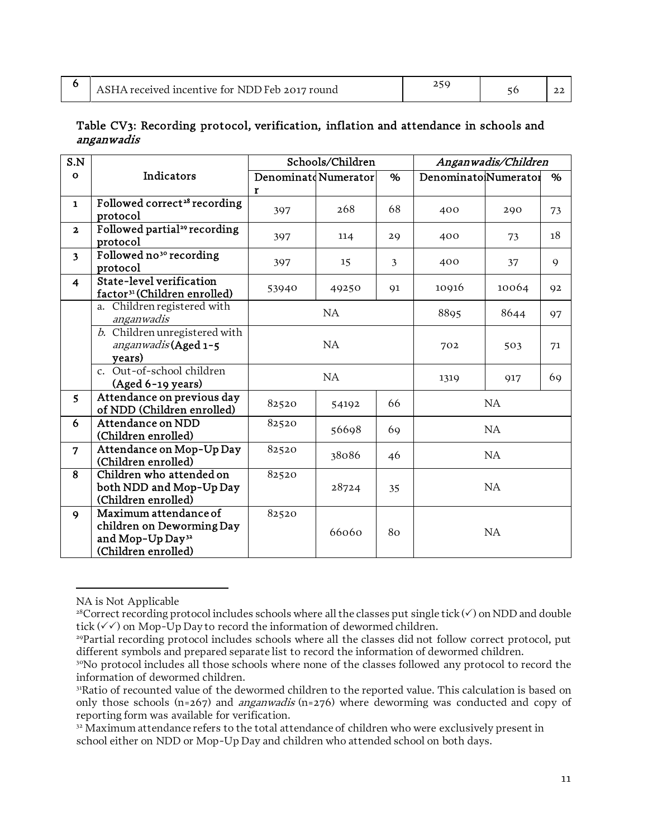|  | ASHA received incentive for NDD Feb 2017 round |  |  |  |
|--|------------------------------------------------|--|--|--|
|--|------------------------------------------------|--|--|--|

#### Table CV3: Recording protocol, verification, inflation and attendance in schools and anganwadis

| S.N                     |                                              |                      | Schools/Children | Anganwadis/Children |                      |       |             |
|-------------------------|----------------------------------------------|----------------------|------------------|---------------------|----------------------|-------|-------------|
| $\mathbf{o}$            | Indicators                                   | Denominatd Numerator |                  | %                   | Denominato Numerator |       | %           |
|                         |                                              | r                    |                  |                     |                      |       |             |
| $\mathbf{1}$            | Followed correct <sup>28</sup> recording     | 397                  | 268              | 68                  | 400                  | 290   | 73          |
|                         | protocol                                     |                      |                  |                     |                      |       |             |
| $\mathbf{z}$            | Followed partial <sup>29</sup> recording     | 397                  | 114              | 29                  | 400                  | 73    | 18          |
|                         | protocol                                     |                      |                  |                     |                      |       |             |
| $\overline{\mathbf{3}}$ | Followed no <sup>30</sup> recording          | 397                  | 15               | 3                   | 400                  | 37    | $\mathbf Q$ |
|                         | protocol                                     |                      |                  |                     |                      |       |             |
| $\overline{4}$          | State-level verification                     | 53940                | 49250            | 91                  | 10916                | 10064 | 92          |
|                         | factor <sup>31</sup> (Children enrolled)     |                      |                  |                     |                      |       |             |
|                         | Children registered with<br>a.<br>anganwadis |                      | NA               |                     | 8895                 | 8644  | 97          |
|                         | b. Children unregistered with                |                      |                  |                     |                      |       |             |
|                         | anganwadis (Aged 1-5                         | NA                   |                  |                     | 702                  | 503   | 71          |
|                         | years)                                       |                      |                  |                     |                      |       |             |
|                         | c. Out-of-school children                    |                      |                  |                     |                      |       |             |
|                         | (Aged 6-19 years)                            |                      | NA               |                     | 1319                 | 917   | 69          |
| 5                       | Attendance on previous day                   |                      |                  |                     |                      |       |             |
|                         | of NDD (Children enrolled)                   | 82520                | 54192            | 66                  |                      | NA    |             |
| 6                       | Attendance on NDD                            | 82520                |                  |                     |                      |       |             |
|                         | (Children enrolled)                          |                      | 56698            | 69                  |                      | NA    |             |
| $\overline{7}$          | Attendance on Mop-Up Day                     | 82520                | 38086            |                     |                      |       |             |
|                         | (Children enrolled)                          |                      |                  | 46                  | NA                   |       |             |
| 8                       | Children who attended on                     | 82520                |                  |                     |                      |       |             |
|                         | both NDD and Mop-Up Day                      |                      | 28724            | 35                  |                      | NA    |             |
|                         | (Children enrolled)                          |                      |                  |                     |                      |       |             |
| 9                       | Maximum attendance of                        | 82520                |                  |                     |                      |       |             |
|                         | children on Deworming Day                    |                      | 66060            | 80                  |                      | NA    |             |
|                         | and Mop-Up Day <sup>32</sup>                 |                      |                  |                     |                      |       |             |
|                         | (Children enrolled)                          |                      |                  |                     |                      |       |             |

<span id="page-10-1"></span><span id="page-10-0"></span>NA is Not Applicable

<span id="page-10-3"></span><span id="page-10-2"></span><sup>&</sup>lt;sup>28</sup>Correct recording protocol includes schools where all the classes put single tick  $(\checkmark)$  on NDD and double tick  $(\sqrt{\sqrt{}})$  on Mop-Up Day to record the information of dewormed children.

<sup>29</sup>Partial recording protocol includes schools where all the classes did not follow correct protocol, put different symbols and prepared separate list to record the information of dewormed children.

<span id="page-10-4"></span><sup>&</sup>lt;sup>30</sup>No protocol includes all those schools where none of the classes followed any protocol to record the information of dewormed children.

<span id="page-10-5"></span><sup>&</sup>lt;sup>31</sup>Ratio of recounted value of the dewormed children to the reported value. This calculation is based on only those schools (n=267) and *anganwadis* (n=276) where deworming was conducted and copy of reporting form was available for verification.

<span id="page-10-6"></span><sup>&</sup>lt;sup>32</sup> Maximum attendance refers to the total attendance of children who were exclusively present in school either on NDD or Mop-Up Day and children who attended school on both days.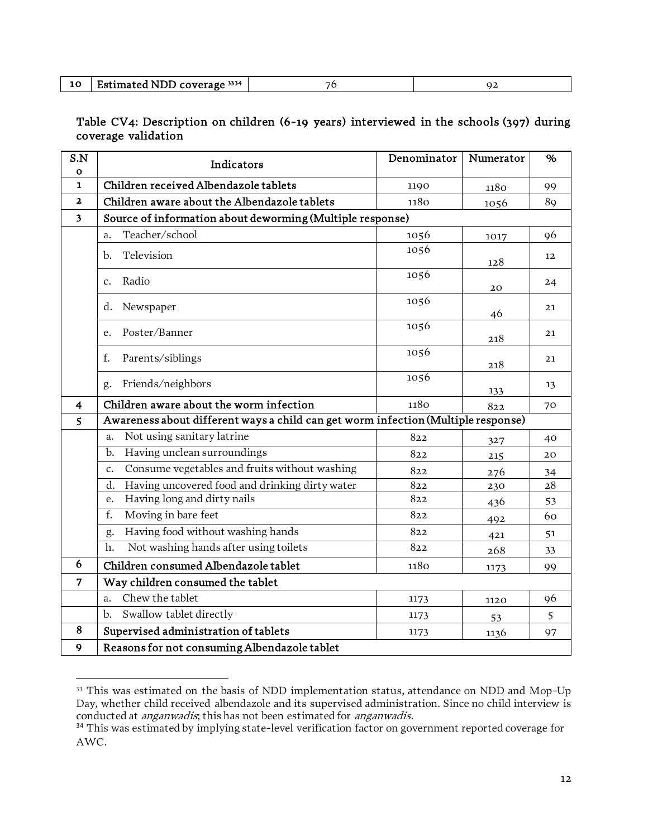|  | Estimated NDD coverage 3334 |  |  |
|--|-----------------------------|--|--|
|--|-----------------------------|--|--|

### Table CV4: Description on children (6-19 years) interviewed in the schools (397) during coverage validation

| S.N<br>O     | Indicators                                                                        | Denominator | Numerator | %  |
|--------------|-----------------------------------------------------------------------------------|-------------|-----------|----|
| $\mathbf{1}$ | Children received Albendazole tablets                                             | 1190        | 1180      | 99 |
| $\mathbf{2}$ | Children aware about the Albendazole tablets                                      | 1180        | 1056      | 89 |
| 3            | Source of information about deworming (Multiple response)                         |             |           |    |
|              | Teacher/school<br>a.                                                              | 1056        | 1017      | 96 |
|              | Television<br>b.                                                                  | 1056        | 128       | 12 |
|              | Radio<br>c.                                                                       | 1056        | 20        | 24 |
|              | Newspaper<br>d.                                                                   | 1056        | 46        | 21 |
|              | Poster/Banner<br>e.                                                               | 1056        | 218       | 21 |
|              | f.<br>Parents/siblings                                                            | 1056        | 218       | 21 |
|              | Friends/neighbors<br>g.                                                           | 1056        | 133       | 13 |
| 4            | Children aware about the worm infection                                           | 1180        | 822       | 70 |
| 5            | Awareness about different ways a child can get worm infection (Multiple response) |             |           |    |
|              | Not using sanitary latrine<br>a.                                                  | 822         | 327       | 40 |
|              | Having unclean surroundings<br>b.                                                 | 822         | 215       | 20 |
|              | Consume vegetables and fruits without washing<br>c.                               | 822         | 276       | 34 |
|              | Having uncovered food and drinking dirty water<br>d.                              | 822         | 230       | 28 |
|              | Having long and dirty nails<br>e.                                                 | 822         | 436       | 53 |
|              | f.<br>Moving in bare feet                                                         | 822         | 492       | 60 |
|              | Having food without washing hands<br>g.                                           | 822         | 421       | 51 |
|              | Not washing hands after using toilets<br>h.                                       | 822         | 268       | 33 |
| 6            | Children consumed Albendazole tablet                                              | 1180        | 1173      | 99 |
| 7            | Way children consumed the tablet                                                  |             |           |    |
|              | Chew the tablet<br>a.                                                             | 1173        | 1120      | 96 |
|              | Swallow tablet directly<br>$\mathbf{b}$ .                                         | 1173        | 53        | 5  |
| 8            | Supervised administration of tablets                                              | 1173        | 1136      | 97 |
| 9            | Reasons for not consuming Albendazole tablet                                      |             |           |    |

<sup>&</sup>lt;sup>33</sup> This was estimated on the basis of NDD implementation status, attendance on NDD and Mop-Up Day, whether child received albendazole and its supervised administration. Since no child interview is conducted at *anganwadis*; this has not been estimated for *anganwadis.* 

<sup>&</sup>lt;sup>34</sup> This was estimated by implying state-level verification factor on government reported coverage for AWC.